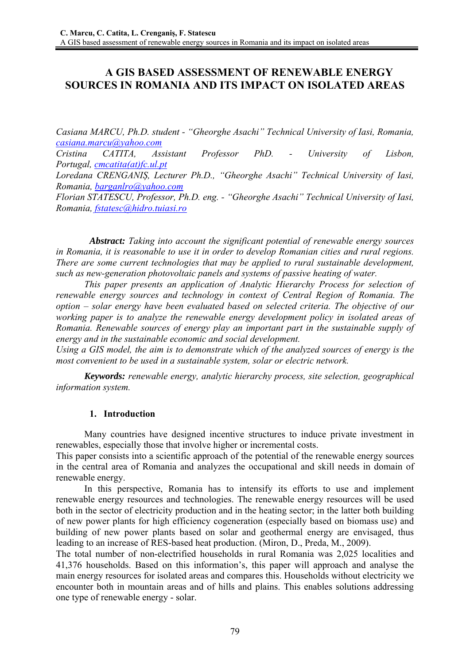# **A GIS BASED ASSESSMENT OF RENEWABLE ENERGY SOURCES IN ROMANIA AND ITS IMPACT ON ISOLATED AREAS**

*Casiana MARCU, Ph.D. student - "Gheorghe Asachi" Technical University of Iasi, Romania, casiana.marcu@yahoo.com*

*Cristina CATITA, Assistant Professor PhD. - University of Lisbon, Portugal, cmcatita(at)fc.ul.pt*

*Loredana CRENGANIȘ, Lecturer Ph.D., "Gheorghe Asachi" Technical University of Iasi, Romania, barganlro@yahoo.com*

*Florian STATESCU, Professor, Ph.D. eng. - "Gheorghe Asachi" Technical University of Iasi, Romania, fstatesc@hidro.tuiasi.ro*

*Abstract: Taking into account the significant potential of renewable energy sources in Romania, it is reasonable to use it in order to develop Romanian cities and rural regions. There are some current technologies that may be applied to rural sustainable development, such as new-generation photovoltaic panels and systems of passive heating of water.* 

*This paper presents an application of Analytic Hierarchy Process for selection of renewable energy sources and technology in context of Central Region of Romania. The option – solar energy have been evaluated based on selected criteria. The objective of our working paper is to analyze the renewable energy development policy in isolated areas of Romania. Renewable sources of energy play an important part in the sustainable supply of energy and in the sustainable economic and social development.* 

*Using a GIS model, the aim is to demonstrate which of the analyzed sources of energy is the most convenient to be used in a sustainable system, solar or electric network.* 

*Keywords: renewable energy, analytic hierarchy process, site selection, geographical information system.* 

## **1. Introduction**

Many countries have designed incentive structures to induce private investment in renewables, especially those that involve higher or incremental costs.

This paper consists into a scientific approach of the potential of the renewable energy sources in the central area of Romania and analyzes the occupational and skill needs in domain of renewable energy.

In this perspective, Romania has to intensify its efforts to use and implement renewable energy resources and technologies. The renewable energy resources will be used both in the sector of electricity production and in the heating sector; in the latter both building of new power plants for high efficiency cogeneration (especially based on biomass use) and building of new power plants based on solar and geothermal energy are envisaged, thus leading to an increase of RES-based heat production. (Miron, D., Preda, M., 2009).

The total number of non-electrified households in rural Romania was 2,025 localities and 41,376 households. Based on this information's, this paper will approach and analyse the main energy resources for isolated areas and compares this. Households without electricity we encounter both in mountain areas and of hills and plains. This enables solutions addressing one type of renewable energy - solar.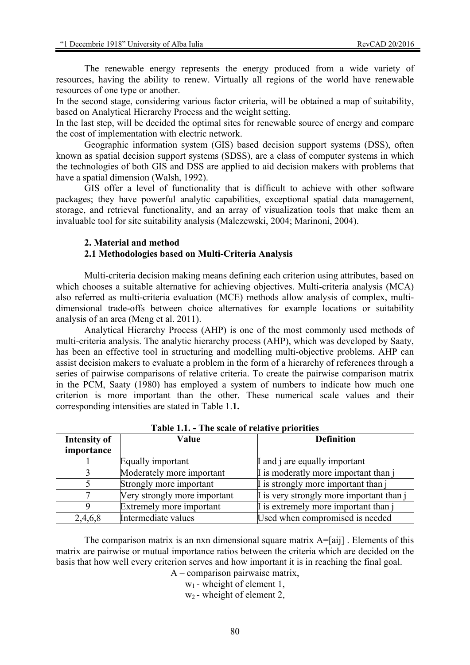The renewable energy represents the energy produced from a wide variety of resources, having the ability to renew. Virtually all regions of the world have renewable resources of one type or another.

In the second stage, considering various factor criteria, will be obtained a map of suitability, based on Analytical Hierarchy Process and the weight setting.

In the last step, will be decided the optimal sites for renewable source of energy and compare the cost of implementation with electric network.

Geographic information system (GIS) based decision support systems (DSS), often known as spatial decision support systems (SDSS), are a class of computer systems in which the technologies of both GIS and DSS are applied to aid decision makers with problems that have a spatial dimension (Walsh, 1992).

GIS offer a level of functionality that is difficult to achieve with other software packages; they have powerful analytic capabilities, exceptional spatial data management, storage, and retrieval functionality, and an array of visualization tools that make them an invaluable tool for site suitability analysis (Malczewski, 2004; Marinoni, 2004).

#### **2. Material and method**

#### **2.1 Methodologies based on Multi-Criteria Analysis**

Multi-criteria decision making means defining each criterion using attributes, based on which chooses a suitable alternative for achieving objectives. Multi-criteria analysis (MCA) also referred as multi-criteria evaluation (MCE) methods allow analysis of complex, multidimensional trade-offs between choice alternatives for example locations or suitability analysis of an area (Meng et al. 2011).

Analytical Hierarchy Process (AHP) is one of the most commonly used methods of multi-criteria analysis. The analytic hierarchy process (AHP), which was developed by Saaty, has been an effective tool in structuring and modelling multi-objective problems. AHP can assist decision makers to evaluate a problem in the form of a hierarchy of references through a series of pairwise comparisons of relative criteria. To create the pairwise comparison matrix in the PCM, Saaty (1980) has employed a system of numbers to indicate how much one criterion is more important than the other. These numerical scale values and their corresponding intensities are stated in Table 1.**1.** 

| <b>Intensity of</b> | Value                        | <b>Definition</b>                        |
|---------------------|------------------------------|------------------------------------------|
| importance          |                              |                                          |
|                     | Equally important            | I and j are equally important            |
|                     | Moderately more important    | I is moderatly more important than j     |
|                     | Strongly more important      | I is strongly more important than j      |
|                     | Very strongly more important | I is very strongly more important than j |
| Q                   | Extremely more important     | I is extremely more important than j     |
| 2,4,6,8             | Intermediate values          | Used when compromised is needed          |

**Table 1.1. - The scale of relative priorities** 

The comparison matrix is an nxn dimensional square matrix  $A = [a_{ij}]$ . Elements of this matrix are pairwise or mutual importance ratios between the criteria which are decided on the basis that how well every criterion serves and how important it is in reaching the final goal.

A – comparison pairwaise matrix,

 $w_1$  - wheight of element 1.

 $w_2$  - wheight of element 2,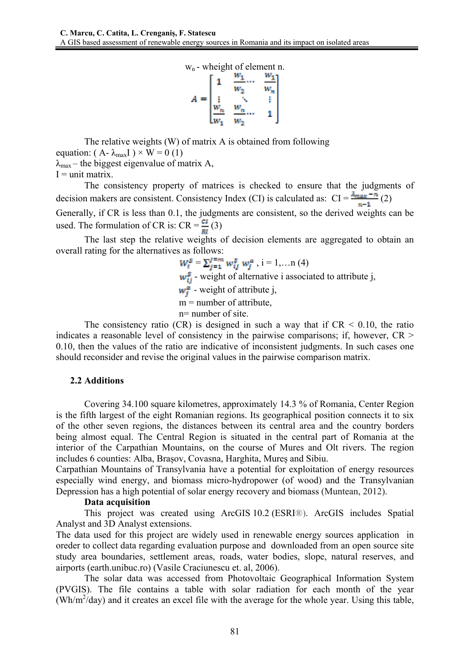$$
W_n - \text{weight of element n.}
$$
\n
$$
A = \begin{bmatrix} 1 & \frac{w_1}{w_2} & \frac{w_1}{w_n} \\ \vdots & \ddots & \vdots \\ \frac{w_n}{w_1} & \frac{w_n}{w_2} & 1 \end{bmatrix}
$$

The relative weights (W) of matrix A is obtained from following equation: ( $A - \lambda_{max}I$ ) × W = 0 (1)  $\lambda_{\text{max}}$  – the biggest eigenvalue of matrix A,  $I = unit matrix$ .

The consistency property of matrices is checked to ensure that the judgments of decision makers are consistent. Consistency Index (CI) is calculated as:  $CI = \frac{\lambda_{\text{max}} - n}{n-1}$  (2) Generally, if CR is less than 0.1, the judgments are consistent, so the derived weights can be

used. The formulation of CR is:  $CR = \frac{ct}{Bl}(3)$ 

The last step the relative weights of decision elements are aggregated to obtain an overall rating for the alternatives as follows:

 $W_i^S = \sum_{j=1}^{j=m} w_{ij}^S w_j^a$ , i = 1,...n (4)  $w_{ij}^s$  - weight of alternative i associated to attribute j,  $w_i^a$  - weight of attribute j,  $m =$  number of attribute. n= number of site.

The consistency ratio (CR) is designed in such a way that if  $CR \le 0.10$ , the ratio indicates a reasonable level of consistency in the pairwise comparisons; if, however, CR > 0.10, then the values of the ratio are indicative of inconsistent judgments. In such cases one should reconsider and revise the original values in the pairwise comparison matrix.

## **2.2 Additions**

Covering 34.100 square kilometres, approximately 14.3 % of Romania, Center Region is the fifth largest of the eight Romanian regions. Its geographical position connects it to six of the other seven regions, the distances between its central area and the country borders being almost equal. The Central Region is situated in the central part of Romania at the interior of the Carpathian Mountains, on the course of Mures and Olt rivers. The region includes 6 counties: Alba, Brașov, Covasna, Harghita, Mureș and Sibiu.

Carpathian Mountains of Transylvania have a potential for exploitation of energy resources especially wind energy, and biomass micro-hydropower (of wood) and the Transylvanian Depression has a high potential of solar energy recovery and biomass (Muntean, 2012).

## **Data acquisition**

This project was created using ArcGIS 10.2 (ESRI®). ArcGIS includes Spatial Analyst and 3D Analyst extensions.

The data used for this project are widely used in renewable energy sources application in oreder to collect data regarding evaluation purpose and downloaded from an open source site study area boundaries, settlement areas, roads, water bodies, slope, natural reserves, and airports (earth.unibuc.ro) (Vasile Craciunescu et. al, 2006).

The solar data was accessed from Photovoltaic Geographical Information System (PVGIS). The file contains a table with solar radiation for each month of the year  $(Wh/m^2/day)$  and it creates an excel file with the average for the whole year. Using this table,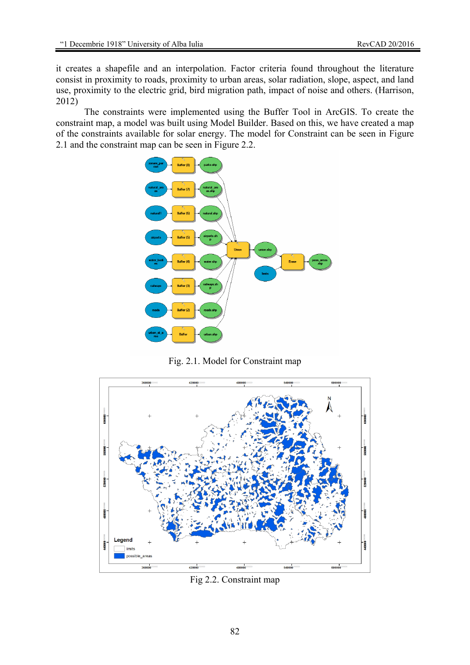it creates a shapefile and an interpolation. Factor criteria found throughout the literature consist in proximity to roads, proximity to urban areas, solar radiation, slope, aspect, and land use, proximity to the electric grid, bird migration path, impact of noise and others. (Harrison, 2012)

The constraints were implemented using the Buffer Tool in ArcGIS. To create the constraint map, a model was built using Model Builder. Based on this, we have created a map of the constraints available for solar energy. The model for Constraint can be seen in Figure 2.1 and the constraint map can be seen in Figure 2.2.



Fig. 2.1. Model for Constraint map



Fig 2.2. Constraint map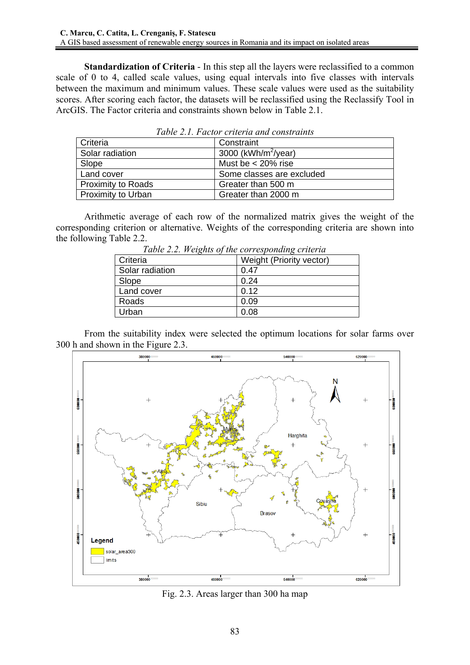**Standardization of Criteria** - In this step all the layers were reclassified to a common scale of 0 to 4, called scale values, using equal intervals into five classes with intervals between the maximum and minimum values. These scale values were used as the suitability scores. After scoring each factor, the datasets will be reclassified using the Reclassify Tool in ArcGIS. The Factor criteria and constraints shown below in Table 2.1.

| Criteria                  | Constraint                      |
|---------------------------|---------------------------------|
| Solar radiation           | 3000 (kWh/m <sup>2</sup> /year) |
| Slope                     | Must be $<$ 20% rise            |
| Land cover                | Some classes are excluded       |
| <b>Proximity to Roads</b> | Greater than 500 m              |
| <b>Proximity to Urban</b> | Greater than 2000 m             |

*Table 2.1. Factor criteria and constraints*

Arithmetic average of each row of the normalized matrix gives the weight of the corresponding criterion or alternative. Weights of the corresponding criteria are shown into the following Table 2.2.

| Table 2.2. Weights of the corresponding criteria |                          |  |
|--------------------------------------------------|--------------------------|--|
| Criteria                                         | Weight (Priority vector) |  |
| Solar radiation                                  | 0.47                     |  |
| Slope                                            | 0.24                     |  |
| Land cover                                       | 0.12                     |  |
| Roads                                            | 0.09                     |  |
| Urban                                            | 0.08                     |  |

 *Table 2.2. Weights of the corresponding criteria* 

From the suitability index were selected the optimum locations for solar farms over 300 h and shown in the Figure 2.3.



Fig. 2.3. Areas larger than 300 ha map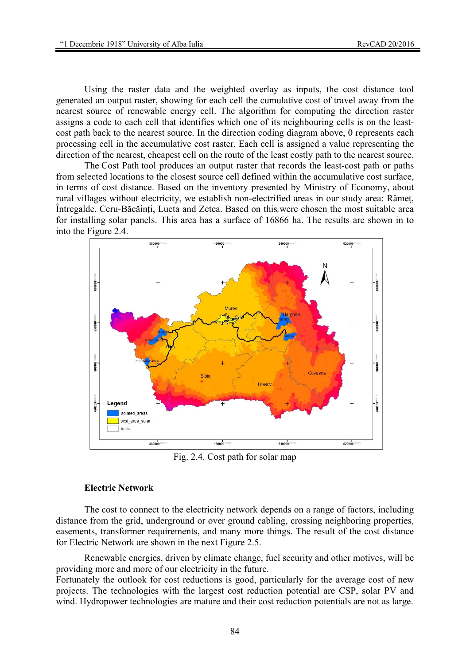Using the raster data and the weighted overlay as inputs, the cost distance tool generated an output raster, showing for each cell the cumulative cost of travel away from the nearest source of renewable energy cell. The algorithm for computing the direction raster assigns a code to each cell that identifies which one of its neighbouring cells is on the leastcost path back to the nearest source. In the direction coding diagram above, 0 represents each processing cell in the accumulative cost raster. Each cell is assigned a value representing the direction of the nearest, cheapest cell on the route of the least costly path to the nearest source.

The Cost Path tool produces an output raster that records the least-cost path or paths from selected locations to the closest source cell defined within the accumulative cost surface, in terms of cost distance. Based on the inventory presented by Ministry of Economy, about rural villages without electricity, we establish non-electrified areas in our study area: Râmeț, Întregalde, Ceru-Băcăinți, Lueta and Zetea. Based on this*,*were chosen the most suitable area for installing solar panels. This area has a surface of 16866 ha. The results are shown in to into the Figure 2.4.



Fig. 2.4. Cost path for solar map

#### **Electric Network**

The cost to connect to the electricity network depends on a range of factors, including distance from the grid, underground or over ground cabling, crossing neighboring properties, easements, transformer requirements, and many more things. The result of the cost distance for Electric Network are shown in the next Figure 2.5.

Renewable energies, driven by climate change, fuel security and other motives, will be providing more and more of our electricity in the future.

Fortunately the outlook for cost reductions is good, particularly for the average cost of new projects. The technologies with the largest cost reduction potential are CSP, solar PV and wind. Hydropower technologies are mature and their cost reduction potentials are not as large.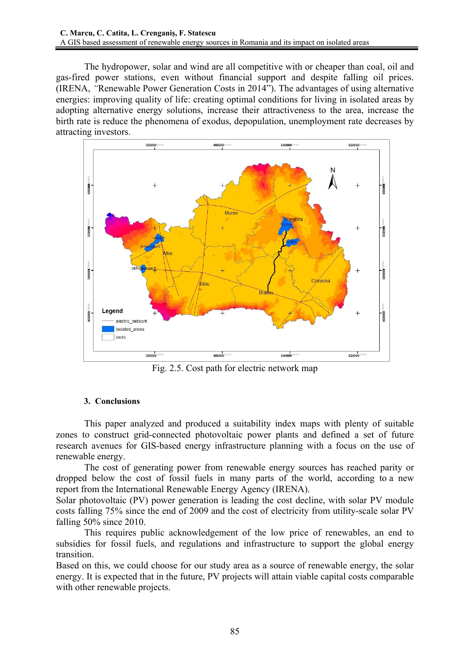The hydropower, solar and wind are all competitive with or cheaper than coal, oil and gas-fired power stations, even without financial support and despite falling oil prices. (IRENA, *"*Renewable Power Generation Costs in 2014"). The advantages of using alternative energies: improving quality of life: creating optimal conditions for living in isolated areas by adopting alternative energy solutions, increase their attractiveness to the area, increase the birth rate is reduce the phenomena of exodus, depopulation, unemployment rate decreases by attracting investors.



Fig. 2.5. Cost path for electric network map

## **3. Conclusions**

This paper analyzed and produced a suitability index maps with plenty of suitable zones to construct grid-connected photovoltaic power plants and defined a set of future research avenues for GIS-based energy infrastructure planning with a focus on the use of renewable energy.

The cost of generating power from renewable energy sources has reached parity or dropped below the cost of fossil fuels in many parts of the world, according to a new report from the International Renewable Energy Agency (IRENA).

Solar photovoltaic (PV) power generation is leading the cost decline, with solar PV module costs falling 75% since the end of 2009 and the cost of electricity from utility-scale solar PV falling 50% since 2010.

This requires public acknowledgement of the low price of renewables, an end to subsidies for fossil fuels, and regulations and infrastructure to support the global energy transition.

Based on this, we could choose for our study area as a source of renewable energy, the solar energy. It is expected that in the future, PV projects will attain viable capital costs comparable with other renewable projects.